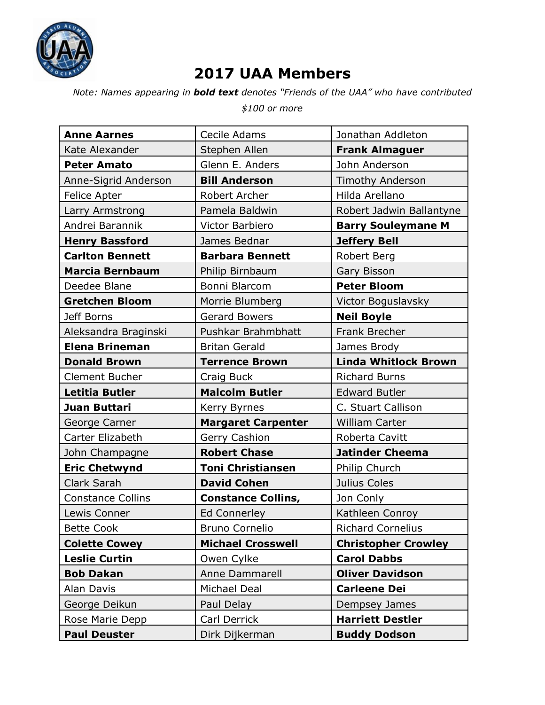

## **2017 UAA Members**

*Note: Names appearing in bold text denotes "Friends of the UAA" who have contributed*

*\$100 or more*

| <b>Anne Aarnes</b>       | Cecile Adams              | Jonathan Addleton           |
|--------------------------|---------------------------|-----------------------------|
| Kate Alexander           | Stephen Allen             | <b>Frank Almaguer</b>       |
| <b>Peter Amato</b>       | Glenn E. Anders           | John Anderson               |
| Anne-Sigrid Anderson     | <b>Bill Anderson</b>      | <b>Timothy Anderson</b>     |
| Felice Apter             | Robert Archer             | Hilda Arellano              |
| Larry Armstrong          | Pamela Baldwin            | Robert Jadwin Ballantyne    |
| Andrei Barannik          | Victor Barbiero           | <b>Barry Souleymane M</b>   |
| <b>Henry Bassford</b>    | James Bednar              | <b>Jeffery Bell</b>         |
| <b>Carlton Bennett</b>   | <b>Barbara Bennett</b>    | Robert Berg                 |
| <b>Marcia Bernbaum</b>   | Philip Birnbaum           | Gary Bisson                 |
| Deedee Blane             | Bonni Blarcom             | <b>Peter Bloom</b>          |
| <b>Gretchen Bloom</b>    | Morrie Blumberg           | Victor Boguslavsky          |
| Jeff Borns               | <b>Gerard Bowers</b>      | <b>Neil Boyle</b>           |
| Aleksandra Braginski     | Pushkar Brahmbhatt        | Frank Brecher               |
| <b>Elena Brineman</b>    | <b>Britan Gerald</b>      | James Brody                 |
| <b>Donald Brown</b>      | <b>Terrence Brown</b>     | <b>Linda Whitlock Brown</b> |
| <b>Clement Bucher</b>    | Craig Buck                | <b>Richard Burns</b>        |
| Letitia Butler           | <b>Malcolm Butler</b>     | <b>Edward Butler</b>        |
| Juan Buttari             | Kerry Byrnes              | C. Stuart Callison          |
|                          |                           |                             |
| George Carner            | <b>Margaret Carpenter</b> | <b>William Carter</b>       |
| Carter Elizabeth         | Gerry Cashion             | Roberta Cavitt              |
| John Champagne           | <b>Robert Chase</b>       | <b>Jatinder Cheema</b>      |
| <b>Eric Chetwynd</b>     | <b>Toni Christiansen</b>  | Philip Church               |
| Clark Sarah              | <b>David Cohen</b>        | Julius Coles                |
| <b>Constance Collins</b> | <b>Constance Collins,</b> | Jon Conly                   |
| Lewis Conner             | Ed Connerley              | Kathleen Conroy             |
| <b>Bette Cook</b>        | <b>Bruno Cornelio</b>     | <b>Richard Cornelius</b>    |
| <b>Colette Cowey</b>     | <b>Michael Crosswell</b>  | <b>Christopher Crowley</b>  |
| <b>Leslie Curtin</b>     | Owen Cylke                | <b>Carol Dabbs</b>          |
| <b>Bob Dakan</b>         | Anne Dammarell            | <b>Oliver Davidson</b>      |
| Alan Davis               | Michael Deal              | <b>Carleene Dei</b>         |
| George Deikun            | Paul Delay                | Dempsey James               |
| Rose Marie Depp          | Carl Derrick              | <b>Harriett Destler</b>     |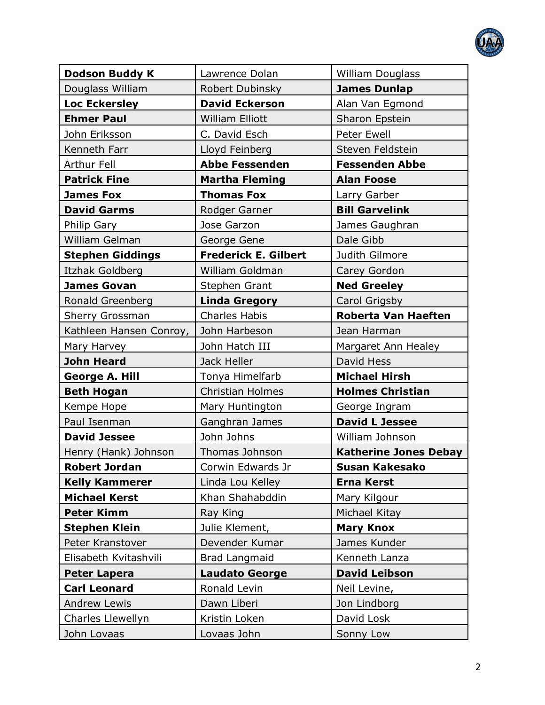

| <b>Dodson Buddy K</b>   | Lawrence Dolan              | <b>William Douglass</b>      |
|-------------------------|-----------------------------|------------------------------|
| Douglass William        | Robert Dubinsky             | <b>James Dunlap</b>          |
| <b>Loc Eckersley</b>    | <b>David Eckerson</b>       | Alan Van Egmond              |
| <b>Ehmer Paul</b>       | William Elliott             | Sharon Epstein               |
| John Eriksson           | C. David Esch               | <b>Peter Ewell</b>           |
| Kenneth Farr            | Lloyd Feinberg              | Steven Feldstein             |
| Arthur Fell             | <b>Abbe Fessenden</b>       | <b>Fessenden Abbe</b>        |
| <b>Patrick Fine</b>     | <b>Martha Fleming</b>       | <b>Alan Foose</b>            |
| <b>James Fox</b>        | <b>Thomas Fox</b>           | Larry Garber                 |
| <b>David Garms</b>      | Rodger Garner               | <b>Bill Garvelink</b>        |
| Philip Gary             | Jose Garzon                 | James Gaughran               |
| William Gelman          | George Gene                 | Dale Gibb                    |
| <b>Stephen Giddings</b> | <b>Frederick E. Gilbert</b> | Judith Gilmore               |
| Itzhak Goldberg         | William Goldman             | Carey Gordon                 |
| <b>James Govan</b>      | <b>Stephen Grant</b>        | <b>Ned Greeley</b>           |
| Ronald Greenberg        | <b>Linda Gregory</b>        | Carol Grigsby                |
| Sherry Grossman         | <b>Charles Habis</b>        | <b>Roberta Van Haeften</b>   |
| Kathleen Hansen Conroy, | John Harbeson               | Jean Harman                  |
| Mary Harvey             | John Hatch III              | Margaret Ann Healey          |
| <b>John Heard</b>       | Jack Heller                 | David Hess                   |
| <b>George A. Hill</b>   | Tonya Himelfarb             | <b>Michael Hirsh</b>         |
| <b>Beth Hogan</b>       | <b>Christian Holmes</b>     | <b>Holmes Christian</b>      |
| Kempe Hope              | Mary Huntington             | George Ingram                |
| Paul Isenman            | Ganghran James              | <b>David L Jessee</b>        |
| <b>David Jessee</b>     | John Johns                  | William Johnson              |
| Henry (Hank) Johnson    | <b>Thomas Johnson</b>       | <b>Katherine Jones Debay</b> |
| <b>Robert Jordan</b>    | Corwin Edwards Jr           | <b>Susan Kakesako</b>        |
| <b>Kelly Kammerer</b>   | Linda Lou Kelley            | <b>Erna Kerst</b>            |
| <b>Michael Kerst</b>    | Khan Shahabddin             | Mary Kilgour                 |
| <b>Peter Kimm</b>       | Ray King                    | Michael Kitay                |
| <b>Stephen Klein</b>    | Julie Klement,              | <b>Mary Knox</b>             |
| Peter Kranstover        | Devender Kumar              | James Kunder                 |
| Elisabeth Kvitashvili   | <b>Brad Langmaid</b>        | Kenneth Lanza                |
| <b>Peter Lapera</b>     | <b>Laudato George</b>       | <b>David Leibson</b>         |
| <b>Carl Leonard</b>     | Ronald Levin                | Neil Levine,                 |
| <b>Andrew Lewis</b>     | Dawn Liberi                 | Jon Lindborg                 |
| Charles Llewellyn       | Kristin Loken               | David Losk                   |
| John Lovaas             | Lovaas John                 | Sonny Low                    |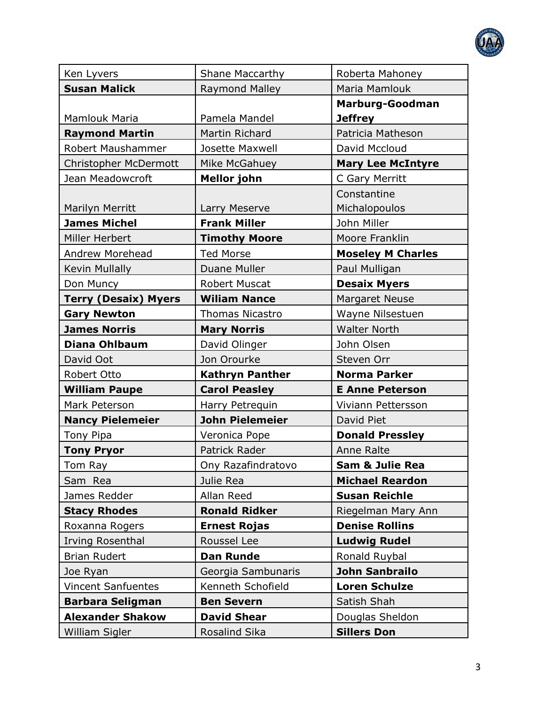

| Ken Lyvers                  | <b>Shane Maccarthy</b> | Roberta Mahoney            |
|-----------------------------|------------------------|----------------------------|
| <b>Susan Malick</b>         | <b>Raymond Malley</b>  | Maria Mamlouk              |
|                             |                        | <b>Marburg-Goodman</b>     |
| <b>Mamlouk Maria</b>        | Pamela Mandel          | <b>Jeffrey</b>             |
| <b>Raymond Martin</b>       | Martin Richard         | Patricia Matheson          |
| Robert Maushammer           | Josette Maxwell        | David Mccloud              |
| Christopher McDermott       | Mike McGahuey          | <b>Mary Lee McIntyre</b>   |
| Jean Meadowcroft            | <b>Mellor john</b>     | C Gary Merritt             |
|                             |                        | Constantine                |
| <b>Marilyn Merritt</b>      | Larry Meserve          | Michalopoulos              |
| <b>James Michel</b>         | <b>Frank Miller</b>    | John Miller                |
| Miller Herbert              | <b>Timothy Moore</b>   | Moore Franklin             |
| Andrew Morehead             | <b>Ted Morse</b>       | <b>Moseley M Charles</b>   |
| Kevin Mullally              | Duane Muller           | Paul Mulligan              |
| Don Muncy                   | <b>Robert Muscat</b>   | <b>Desaix Myers</b>        |
| <b>Terry (Desaix) Myers</b> | <b>Wiliam Nance</b>    | <b>Margaret Neuse</b>      |
| <b>Gary Newton</b>          | <b>Thomas Nicastro</b> | Wayne Nilsestuen           |
| <b>James Norris</b>         | <b>Mary Norris</b>     | <b>Walter North</b>        |
| <b>Diana Ohlbaum</b>        | David Olinger          | John Olsen                 |
| David Oot                   | Jon Orourke            | Steven Orr                 |
| Robert Otto                 | Kathryn Panther        | <b>Norma Parker</b>        |
| <b>William Paupe</b>        | <b>Carol Peasley</b>   | <b>E Anne Peterson</b>     |
| Mark Peterson               | Harry Petrequin        | Viviann Pettersson         |
| <b>Nancy Pielemeier</b>     | <b>John Pielemeier</b> | David Piet                 |
| Tony Pipa                   | Veronica Pope          | <b>Donald Pressley</b>     |
| <b>Tony Pryor</b>           | Patrick Rader          | Anne Ralte                 |
| Tom Ray                     | Ony Razafindratovo     | <b>Sam &amp; Julie Rea</b> |
| Sam Rea                     | Julie Rea              | <b>Michael Reardon</b>     |
| James Redder                | Allan Reed             | <b>Susan Reichle</b>       |
| <b>Stacy Rhodes</b>         | <b>Ronald Ridker</b>   | Riegelman Mary Ann         |
| Roxanna Rogers              | <b>Ernest Rojas</b>    | <b>Denise Rollins</b>      |
| Irving Rosenthal            | Roussel Lee            | <b>Ludwig Rudel</b>        |
| <b>Brian Rudert</b>         | <b>Dan Runde</b>       | Ronald Ruybal              |
| Joe Ryan                    | Georgia Sambunaris     | <b>John Sanbrailo</b>      |
| <b>Vincent Sanfuentes</b>   | Kenneth Schofield      | <b>Loren Schulze</b>       |
| <b>Barbara Seligman</b>     | <b>Ben Severn</b>      | Satish Shah                |
| <b>Alexander Shakow</b>     | <b>David Shear</b>     | Douglas Sheldon            |
| William Sigler              | Rosalind Sika          | <b>Sillers Don</b>         |